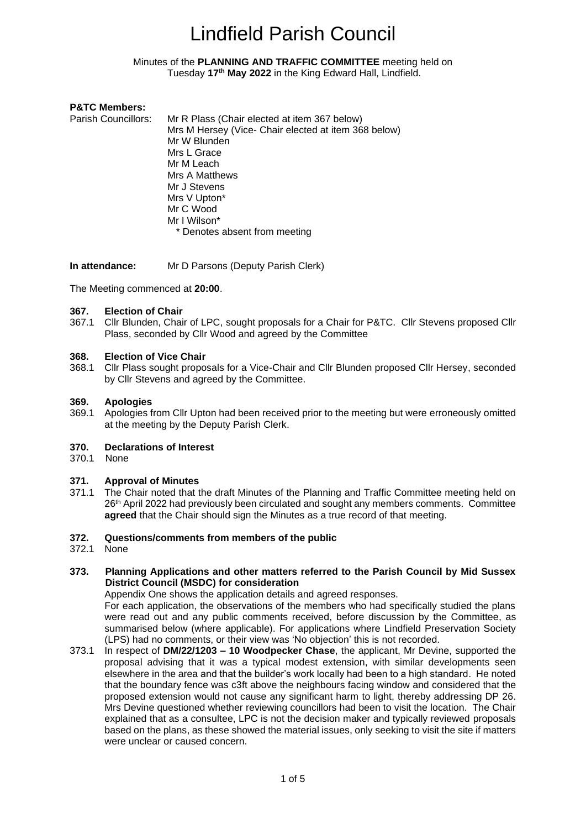#### <span id="page-0-0"></span>Minutes of the **PLANNING AND TRAFFIC COMMITTEE** meeting held on Tuesday **17th May 2022** in the King Edward Hall, Lindfield.

#### **P&TC Members:**

Parish Councillors: Mr R Plass (Chair elected at item 367 below) Mrs M Hersey (Vice- Chair elected at item 368 below) Mr W Blunden Mrs L Grace Mr M Leach Mrs A Matthews Mr J Stevens Mrs V Upton\* Mr C Wood Mr I Wilson\* \* Denotes absent from meeting

**In attendance:** Mr D Parsons (Deputy Parish Clerk)

The Meeting commenced at **20:00**.

#### **367. Election of Chair**

367.1 Cllr Blunden, Chair of LPC, sought proposals for a Chair for P&TC. Cllr Stevens proposed Cllr Plass, seconded by Cllr Wood and agreed by the Committee

#### **368. Election of Vice Chair**

368.1 Cllr Plass sought proposals for a Vice-Chair and Cllr Blunden proposed Cllr Hersey, seconded by Cllr Stevens and agreed by the Committee.

#### **369. Apologies**

369.1 Apologies from Cllr Upton had been received prior to the meeting but were erroneously omitted at the meeting by the Deputy Parish Clerk.

#### **370. Declarations of Interest**

370.1 None

#### **371. Approval of Minutes**

371.1 The Chair noted that the draft Minutes of the Planning and Traffic Committee meeting held on 26th April 2022 had previously been circulated and sought any members comments. Committee **agreed** that the Chair should sign the Minutes as a true record of that meeting.

#### **372. Questions/comments from members of the public**

372.1 None

#### **373. Planning Applications and other matters referred to the Parish Council by Mid Sussex District Council (MSDC) for consideration**

Appendix One shows the application details and agreed responses.

For each application, the observations of the members who had specifically studied the plans were read out and any public comments received, before discussion by the Committee, as summarised below (where applicable). For applications where Lindfield Preservation Society (LPS) had no comments, or their view was 'No objection' this is not recorded.

373.1 In respect of **DM/22/1203 – 10 Woodpecker Chase**, the applicant, Mr Devine, supported the proposal advising that it was a typical modest extension, with similar developments seen elsewhere in the area and that the builder's work locally had been to a high standard. He noted that the boundary fence was c3ft above the neighbours facing window and considered that the proposed extension would not cause any significant harm to light, thereby addressing DP 26. Mrs Devine questioned whether reviewing councillors had been to visit the location. The Chair explained that as a consultee, LPC is not the decision maker and typically reviewed proposals based on the plans, as these showed the material issues, only seeking to visit the site if matters were unclear or caused concern.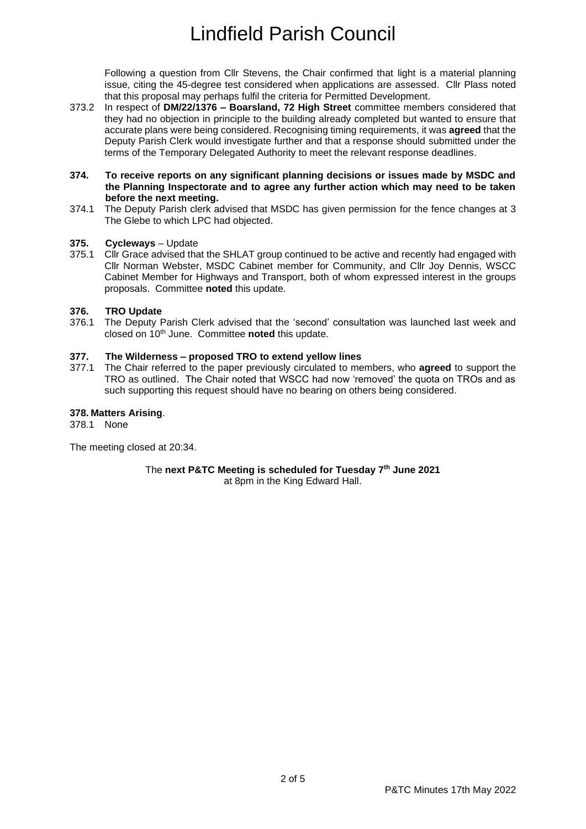Following a question from Cllr Stevens, the Chair confirmed that light is a material planning issue, citing the 45-degree test considered when applications are assessed. Cllr Plass noted that this proposal may perhaps fulfil the criteria for Permitted Development.

373.2 In respect of **DM/22/1376 – Boarsland, 72 High Street** committee members considered that they had no objection in principle to the building already completed but wanted to ensure that accurate plans were being considered. Recognising timing requirements, it was **agreed** that the Deputy Parish Clerk would investigate further and that a response should submitted under the terms of the Temporary Delegated Authority to meet the relevant response deadlines.

#### **374. To receive reports on any significant planning decisions or issues made by MSDC and the Planning Inspectorate and to agree any further action which may need to be taken before the next meeting.**

374.1 The Deputy Parish clerk advised that MSDC has given permission for the fence changes at 3 The Glebe to which LPC had objected.

#### **375. Cycleways** – Update

375.1 Cllr Grace advised that the SHLAT group continued to be active and recently had engaged with Cllr Norman Webster, MSDC Cabinet member for Community, and Cllr Joy Dennis, WSCC Cabinet Member for Highways and Transport, both of whom expressed interest in the groups proposals. Committee **noted** this update.

#### **376. TRO Update**

376.1 The Deputy Parish Clerk advised that the 'second' consultation was launched last week and closed on 10th June. Committee **noted** this update.

#### **377. The Wilderness – proposed TRO to extend yellow lines**

377.1 The Chair referred to the paper previously circulated to members, who **agreed** to support the TRO as outlined. The Chair noted that WSCC had now 'removed' the quota on TROs and as such supporting this request should have no bearing on others being considered.

#### **378. Matters Arising**.

378.1 None

The meeting closed at 20:34.

The **next P&TC Meeting is scheduled for Tuesday 7 th June 2021** at 8pm in the King Edward Hall.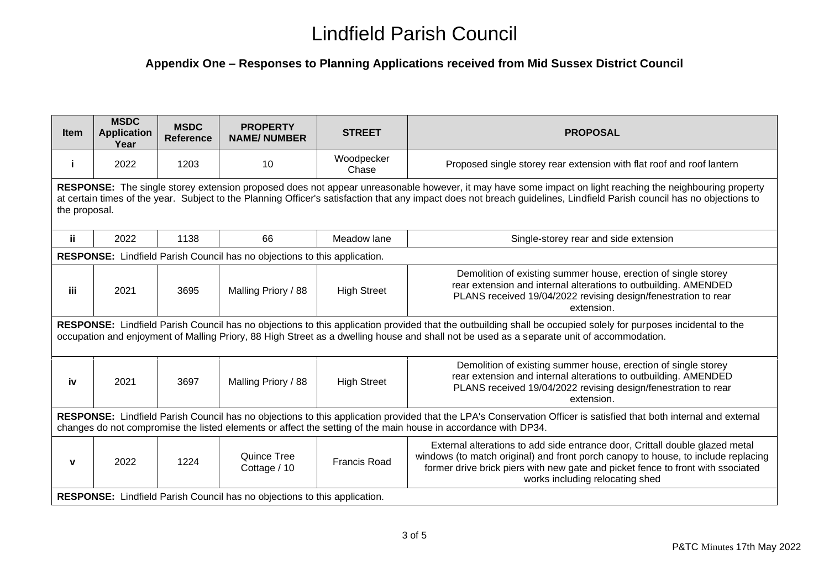### **Appendix One – Responses to Planning Applications received from Mid Sussex District Council**

| <b>Item</b>                                                                                                                                                                                                                                                                                                                                         | <b>MSDC</b><br><b>Application</b><br>Year | <b>MSDC</b><br>Reference | <b>PROPERTY</b><br><b>NAME/NUMBER</b> | <b>STREET</b>       | <b>PROPOSAL</b>                                                                                                                                                                                                                                                                         |  |  |
|-----------------------------------------------------------------------------------------------------------------------------------------------------------------------------------------------------------------------------------------------------------------------------------------------------------------------------------------------------|-------------------------------------------|--------------------------|---------------------------------------|---------------------|-----------------------------------------------------------------------------------------------------------------------------------------------------------------------------------------------------------------------------------------------------------------------------------------|--|--|
| j.                                                                                                                                                                                                                                                                                                                                                  | 2022                                      | 1203                     | 10                                    | Woodpecker<br>Chase | Proposed single storey rear extension with flat roof and roof lantern                                                                                                                                                                                                                   |  |  |
| RESPONSE: The single storey extension proposed does not appear unreasonable however, it may have some impact on light reaching the neighbouring property<br>at certain times of the year. Subject to the Planning Officer's satisfaction that any impact does not breach guidelines, Lindfield Parish council has no objections to<br>the proposal. |                                           |                          |                                       |                     |                                                                                                                                                                                                                                                                                         |  |  |
| ij.                                                                                                                                                                                                                                                                                                                                                 | 2022                                      | 1138                     | 66                                    | Meadow lane         | Single-storey rear and side extension                                                                                                                                                                                                                                                   |  |  |
| RESPONSE: Lindfield Parish Council has no objections to this application.                                                                                                                                                                                                                                                                           |                                           |                          |                                       |                     |                                                                                                                                                                                                                                                                                         |  |  |
| iii.                                                                                                                                                                                                                                                                                                                                                | 2021                                      | 3695                     | Malling Priory / 88                   | <b>High Street</b>  | Demolition of existing summer house, erection of single storey<br>rear extension and internal alterations to outbuilding. AMENDED<br>PLANS received 19/04/2022 revising design/fenestration to rear<br>extension.                                                                       |  |  |
| RESPONSE: Lindfield Parish Council has no objections to this application provided that the outbuilding shall be occupied solely for purposes incidental to the<br>occupation and enjoyment of Malling Priory, 88 High Street as a dwelling house and shall not be used as a separate unit of accommodation.                                         |                                           |                          |                                       |                     |                                                                                                                                                                                                                                                                                         |  |  |
| iv                                                                                                                                                                                                                                                                                                                                                  | 2021                                      | 3697                     | Malling Priory / 88                   | <b>High Street</b>  | Demolition of existing summer house, erection of single storey<br>rear extension and internal alterations to outbuilding. AMENDED<br>PLANS received 19/04/2022 revising design/fenestration to rear<br>extension.                                                                       |  |  |
| RESPONSE: Lindfield Parish Council has no objections to this application provided that the LPA's Conservation Officer is satisfied that both internal and external<br>changes do not compromise the listed elements or affect the setting of the main house in accordance with DP34.                                                                |                                           |                          |                                       |                     |                                                                                                                                                                                                                                                                                         |  |  |
| $\mathbf v$                                                                                                                                                                                                                                                                                                                                         | 2022                                      | 1224                     | Quince Tree<br>Cottage / 10           | <b>Francis Road</b> | External alterations to add side entrance door, Crittall double glazed metal<br>windows (to match original) and front porch canopy to house, to include replacing<br>former drive brick piers with new gate and picket fence to front with ssociated<br>works including relocating shed |  |  |
| <b>RESPONSE:</b> Lindfield Parish Council has no objections to this application.                                                                                                                                                                                                                                                                    |                                           |                          |                                       |                     |                                                                                                                                                                                                                                                                                         |  |  |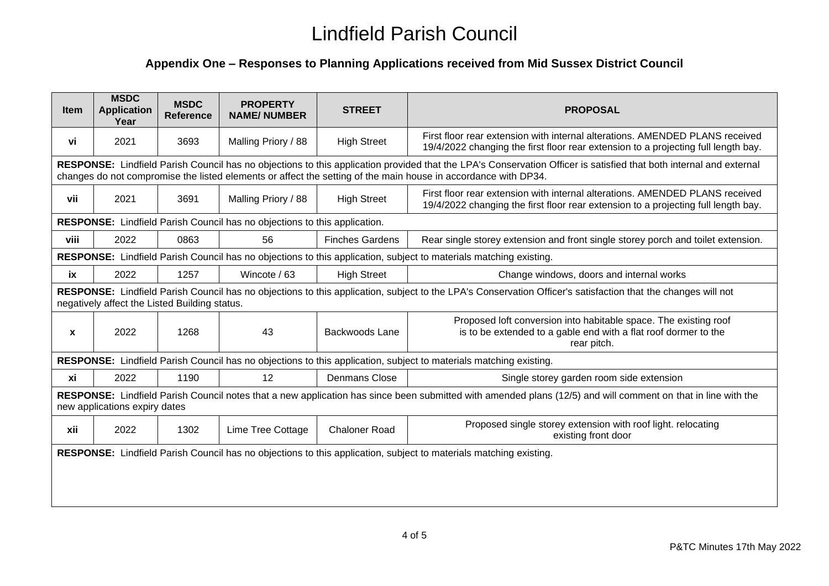### **Appendix One – Responses to Planning Applications received from Mid Sussex District Council**

| <b>Item</b>                                                                                                                                                                                                                                                                          | <b>MSDC</b><br><b>Application</b><br>Year | <b>MSDC</b><br><b>Reference</b> | <b>PROPERTY</b><br><b>NAME/NUMBER</b> | <b>STREET</b>          | <b>PROPOSAL</b>                                                                                                                                                    |  |  |
|--------------------------------------------------------------------------------------------------------------------------------------------------------------------------------------------------------------------------------------------------------------------------------------|-------------------------------------------|---------------------------------|---------------------------------------|------------------------|--------------------------------------------------------------------------------------------------------------------------------------------------------------------|--|--|
| vi                                                                                                                                                                                                                                                                                   | 2021                                      | 3693                            | Malling Priory / 88                   | <b>High Street</b>     | First floor rear extension with internal alterations. AMENDED PLANS received<br>19/4/2022 changing the first floor rear extension to a projecting full length bay. |  |  |
| RESPONSE: Lindfield Parish Council has no objections to this application provided that the LPA's Conservation Officer is satisfied that both internal and external<br>changes do not compromise the listed elements or affect the setting of the main house in accordance with DP34. |                                           |                                 |                                       |                        |                                                                                                                                                                    |  |  |
| vii                                                                                                                                                                                                                                                                                  | 2021                                      | 3691                            | Malling Priory / 88                   | <b>High Street</b>     | First floor rear extension with internal alterations. AMENDED PLANS received<br>19/4/2022 changing the first floor rear extension to a projecting full length bay. |  |  |
| RESPONSE: Lindfield Parish Council has no objections to this application.                                                                                                                                                                                                            |                                           |                                 |                                       |                        |                                                                                                                                                                    |  |  |
| viii                                                                                                                                                                                                                                                                                 | 2022                                      | 0863                            | 56                                    | <b>Finches Gardens</b> | Rear single storey extension and front single storey porch and toilet extension.                                                                                   |  |  |
| RESPONSE: Lindfield Parish Council has no objections to this application, subject to materials matching existing.                                                                                                                                                                    |                                           |                                 |                                       |                        |                                                                                                                                                                    |  |  |
| ix                                                                                                                                                                                                                                                                                   | 2022                                      | 1257                            | Wincote / 63                          | <b>High Street</b>     | Change windows, doors and internal works                                                                                                                           |  |  |
| RESPONSE: Lindfield Parish Council has no objections to this application, subject to the LPA's Conservation Officer's satisfaction that the changes will not<br>negatively affect the Listed Building status.                                                                        |                                           |                                 |                                       |                        |                                                                                                                                                                    |  |  |
| $\mathbf{x}$                                                                                                                                                                                                                                                                         | 2022                                      | 1268                            | 43                                    | Backwoods Lane         | Proposed loft conversion into habitable space. The existing roof<br>is to be extended to a gable end with a flat roof dormer to the<br>rear pitch.                 |  |  |
| RESPONSE: Lindfield Parish Council has no objections to this application, subject to materials matching existing.                                                                                                                                                                    |                                           |                                 |                                       |                        |                                                                                                                                                                    |  |  |
| xi                                                                                                                                                                                                                                                                                   | 2022                                      | 1190                            | 12                                    | <b>Denmans Close</b>   | Single storey garden room side extension                                                                                                                           |  |  |
| RESPONSE: Lindfield Parish Council notes that a new application has since been submitted with amended plans (12/5) and will comment on that in line with the<br>new applications expiry dates                                                                                        |                                           |                                 |                                       |                        |                                                                                                                                                                    |  |  |
| xii                                                                                                                                                                                                                                                                                  | 2022                                      | 1302                            | Lime Tree Cottage                     | <b>Chaloner Road</b>   | Proposed single storey extension with roof light. relocating<br>existing front door                                                                                |  |  |
|                                                                                                                                                                                                                                                                                      |                                           |                                 |                                       |                        | RESPONSE: Lindfield Parish Council has no objections to this application, subject to materials matching existing.                                                  |  |  |